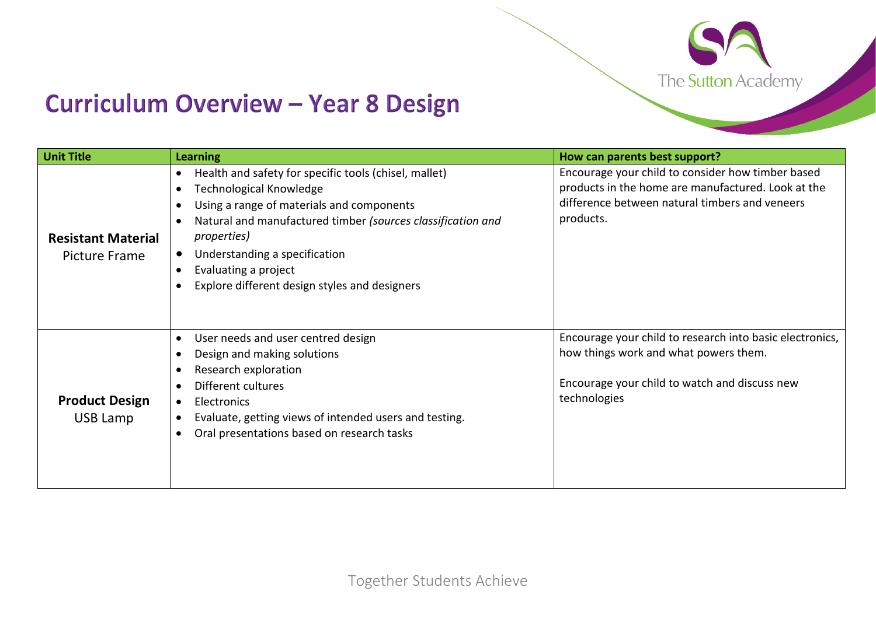

## **Curriculum Overview - Year 8 Design**

| <b>Unit Title</b>                                 | <b>Learning</b>                                                                                                                                                                                                                                                                                                               | How can parents best support?                                                                                                                                          |
|---------------------------------------------------|-------------------------------------------------------------------------------------------------------------------------------------------------------------------------------------------------------------------------------------------------------------------------------------------------------------------------------|------------------------------------------------------------------------------------------------------------------------------------------------------------------------|
| <b>Resistant Material</b><br><b>Picture Frame</b> | Health and safety for specific tools (chisel, mallet)<br>Technological Knowledge<br>Using a range of materials and components<br>Natural and manufactured timber (sources classification and<br><i>properties</i> )<br>Understanding a specification<br>Evaluating a project<br>Explore different design styles and designers | Encourage your child to consider how timber based<br>products in the home are manufactured. Look at the<br>difference between natural timbers and veneers<br>products. |
| <b>Product Design</b><br>USB Lamp                 | User needs and user centred design<br>Design and making solutions<br>Research exploration<br>Different cultures<br>Electronics<br>$\bullet$<br>Evaluate, getting views of intended users and testing.<br>Oral presentations based on research tasks                                                                           | Encourage your child to research into basic electronics,<br>how things work and what powers them.<br>Encourage your child to watch and discuss new<br>technologies     |